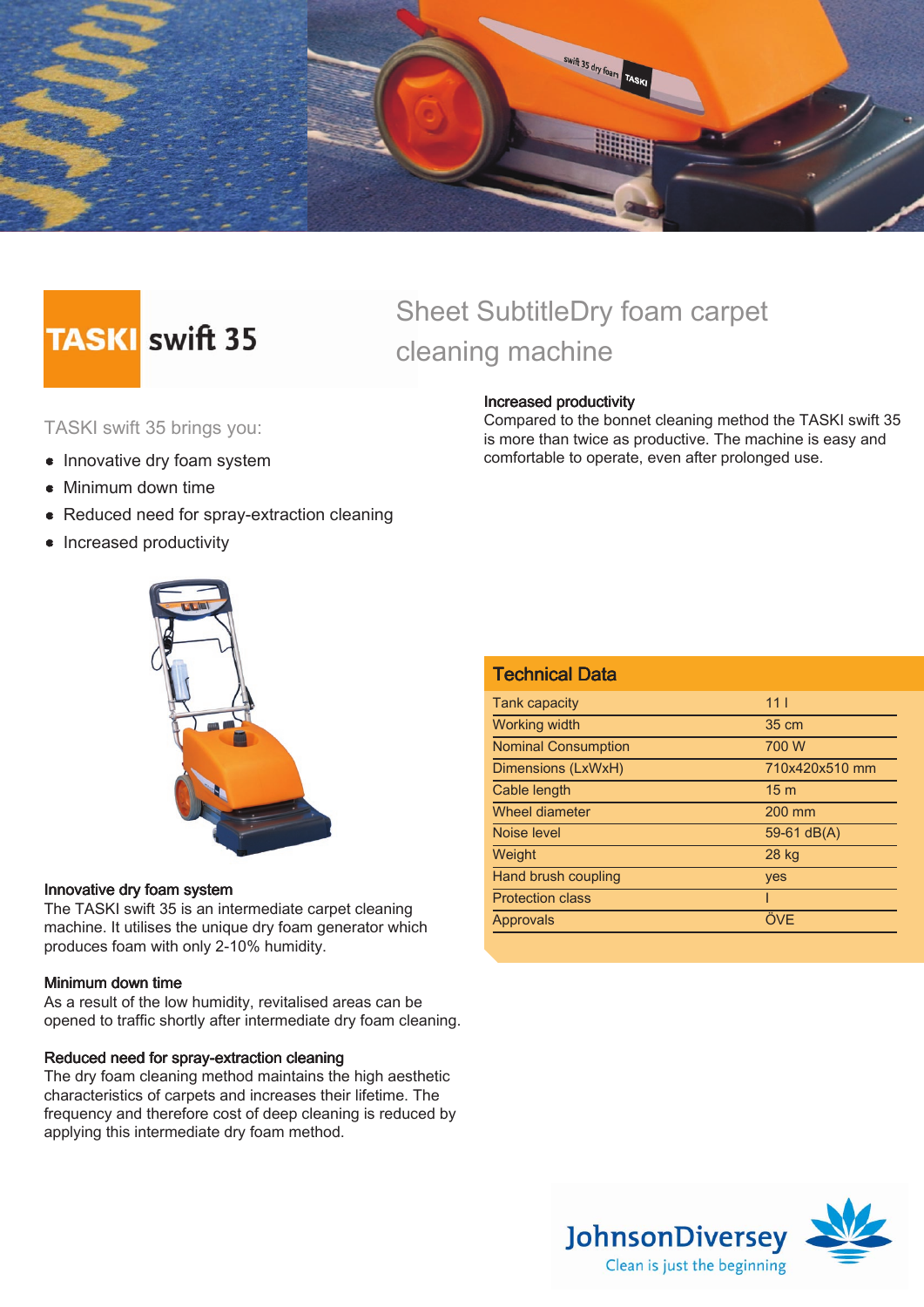

# **TASKI** swift 35

## Sheet SubtitleDry foam carpet cleaning machine

#### TASKI swift 35 brings you:

- Innovative dry foam system
- Minimum down time
- Reduced need for spray-extraction cleaning
- Increased productivity



#### Innovative dry foam system

The TASKI swift 35 is an intermediate carpet cleaning machine. It utilises the unique dry foam generator which produces foam with only 2-10% humidity.

#### Minimum down time

As a result of the low humidity, revitalised areas can be opened to traffic shortly after intermediate dry foam cleaning.

#### Reduced need for spray-extraction cleaning

The dry foam cleaning method maintains the high aesthetic characteristics of carpets and increases their lifetime. The frequency and therefore cost of deep cleaning is reduced by applying this intermediate dry foam method.

#### Increased productivity

Compared to the bonnet cleaning method the TASKI swift 35 is more than twice as productive. The machine is easy and comfortable to operate, even after prolonged use.

| <b>Technical Data</b>      |                 |
|----------------------------|-----------------|
| <b>Tank capacity</b>       | 11 <sub>1</sub> |
| <b>Working width</b>       | 35 cm           |
| <b>Nominal Consumption</b> | 700 W           |
| Dimensions (LxWxH)         | 710x420x510 mm  |
| Cable length               | 15 <sub>m</sub> |
| Wheel diameter             | 200 mm          |
| Noise level                | 59-61 $dB(A)$   |
| Weight                     | 28 kg           |
| Hand brush coupling        | yes             |
| <b>Protection class</b>    |                 |
| <b>Approvals</b>           | ÖVE             |